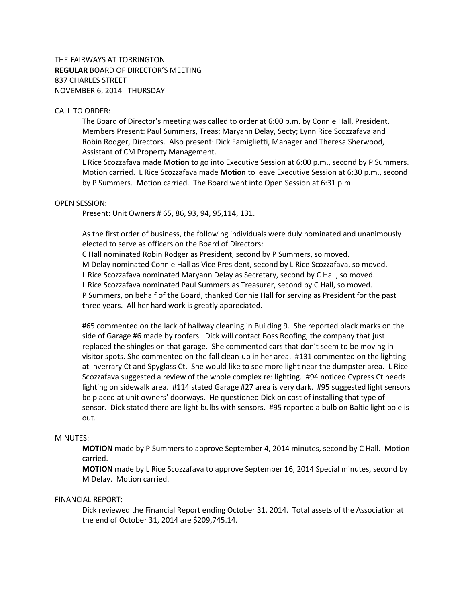THE FAIRWAYS AT TORRINGTON **REGULAR** BOARD OF DIRECTOR'S MEETING 837 CHARLES STREET NOVEMBER 6, 2014 THURSDAY

# CALL TO ORDER:

The Board of Director's meeting was called to order at 6:00 p.m. by Connie Hall, President. Members Present: Paul Summers, Treas; Maryann Delay, Secty; Lynn Rice Scozzafava and Robin Rodger, Directors. Also present: Dick Famiglietti, Manager and Theresa Sherwood, Assistant of CM Property Management.

L Rice Scozzafava made **Motion** to go into Executive Session at 6:00 p.m., second by P Summers. Motion carried. L Rice Scozzafava made **Motion** to leave Executive Session at 6:30 p.m., second by P Summers. Motion carried. The Board went into Open Session at 6:31 p.m.

#### OPEN SESSION:

Present: Unit Owners # 65, 86, 93, 94, 95,114, 131.

As the first order of business, the following individuals were duly nominated and unanimously elected to serve as officers on the Board of Directors:

C Hall nominated Robin Rodger as President, second by P Summers, so moved. M Delay nominated Connie Hall as Vice President, second by L Rice Scozzafava, so moved. L Rice Scozzafava nominated Maryann Delay as Secretary, second by C Hall, so moved. L Rice Scozzafava nominated Paul Summers as Treasurer, second by C Hall, so moved. P Summers, on behalf of the Board, thanked Connie Hall for serving as President for the past three years. All her hard work is greatly appreciated.

#65 commented on the lack of hallway cleaning in Building 9. She reported black marks on the side of Garage #6 made by roofers. Dick will contact Boss Roofing, the company that just replaced the shingles on that garage. She commented cars that don't seem to be moving in visitor spots. She commented on the fall clean-up in her area. #131 commented on the lighting at Inverrary Ct and Spyglass Ct. She would like to see more light near the dumpster area. L Rice Scozzafava suggested a review of the whole complex re: lighting. #94 noticed Cypress Ct needs lighting on sidewalk area. #114 stated Garage #27 area is very dark. #95 suggested light sensors be placed at unit owners' doorways. He questioned Dick on cost of installing that type of sensor. Dick stated there are light bulbs with sensors. #95 reported a bulb on Baltic light pole is out.

#### MINUTES:

**MOTION** made by P Summers to approve September 4, 2014 minutes, second by C Hall. Motion carried.

**MOTION** made by L Rice Scozzafava to approve September 16, 2014 Special minutes, second by M Delay. Motion carried.

## FINANCIAL REPORT:

Dick reviewed the Financial Report ending October 31, 2014. Total assets of the Association at the end of October 31, 2014 are \$209,745.14.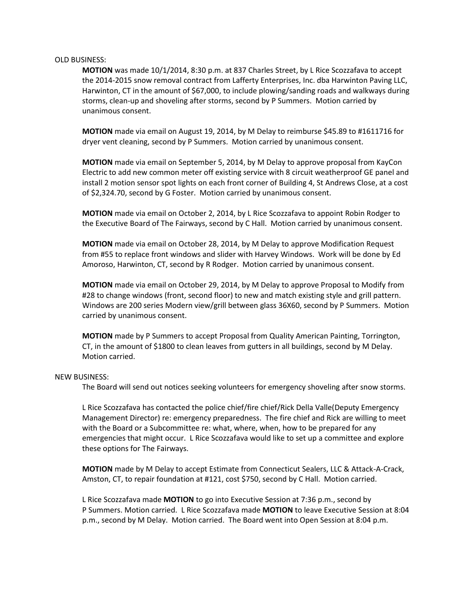#### OLD BUSINESS:

**MOTION** was made 10/1/2014, 8:30 p.m. at 837 Charles Street, by L Rice Scozzafava to accept the 2014-2015 snow removal contract from Lafferty Enterprises, Inc. dba Harwinton Paving LLC, Harwinton, CT in the amount of \$67,000, to include plowing/sanding roads and walkways during storms, clean-up and shoveling after storms, second by P Summers. Motion carried by unanimous consent.

**MOTION** made via email on August 19, 2014, by M Delay to reimburse \$45.89 to #1611716 for dryer vent cleaning, second by P Summers. Motion carried by unanimous consent.

**MOTION** made via email on September 5, 2014, by M Delay to approve proposal from KayCon Electric to add new common meter off existing service with 8 circuit weatherproof GE panel and install 2 motion sensor spot lights on each front corner of Building 4, St Andrews Close, at a cost of \$2,324.70, second by G Foster. Motion carried by unanimous consent.

**MOTION** made via email on October 2, 2014, by L Rice Scozzafava to appoint Robin Rodger to the Executive Board of The Fairways, second by C Hall. Motion carried by unanimous consent.

**MOTION** made via email on October 28, 2014, by M Delay to approve Modification Request from #55 to replace front windows and slider with Harvey Windows. Work will be done by Ed Amoroso, Harwinton, CT, second by R Rodger. Motion carried by unanimous consent.

**MOTION** made via email on October 29, 2014, by M Delay to approve Proposal to Modify from #28 to change windows (front, second floor) to new and match existing style and grill pattern. Windows are 200 series Modern view/grill between glass 36X60, second by P Summers. Motion carried by unanimous consent.

**MOTION** made by P Summers to accept Proposal from Quality American Painting, Torrington, CT, in the amount of \$1800 to clean leaves from gutters in all buildings, second by M Delay. Motion carried.

# NEW BUSINESS:

The Board will send out notices seeking volunteers for emergency shoveling after snow storms.

L Rice Scozzafava has contacted the police chief/fire chief/Rick Della Valle(Deputy Emergency Management Director) re: emergency preparedness. The fire chief and Rick are willing to meet with the Board or a Subcommittee re: what, where, when, how to be prepared for any emergencies that might occur. L Rice Scozzafava would like to set up a committee and explore these options for The Fairways.

**MOTION** made by M Delay to accept Estimate from Connecticut Sealers, LLC & Attack-A-Crack, Amston, CT, to repair foundation at #121, cost \$750, second by C Hall. Motion carried.

L Rice Scozzafava made **MOTION** to go into Executive Session at 7:36 p.m., second by P Summers. Motion carried. L Rice Scozzafava made **MOTION** to leave Executive Session at 8:04 p.m., second by M Delay. Motion carried. The Board went into Open Session at 8:04 p.m.